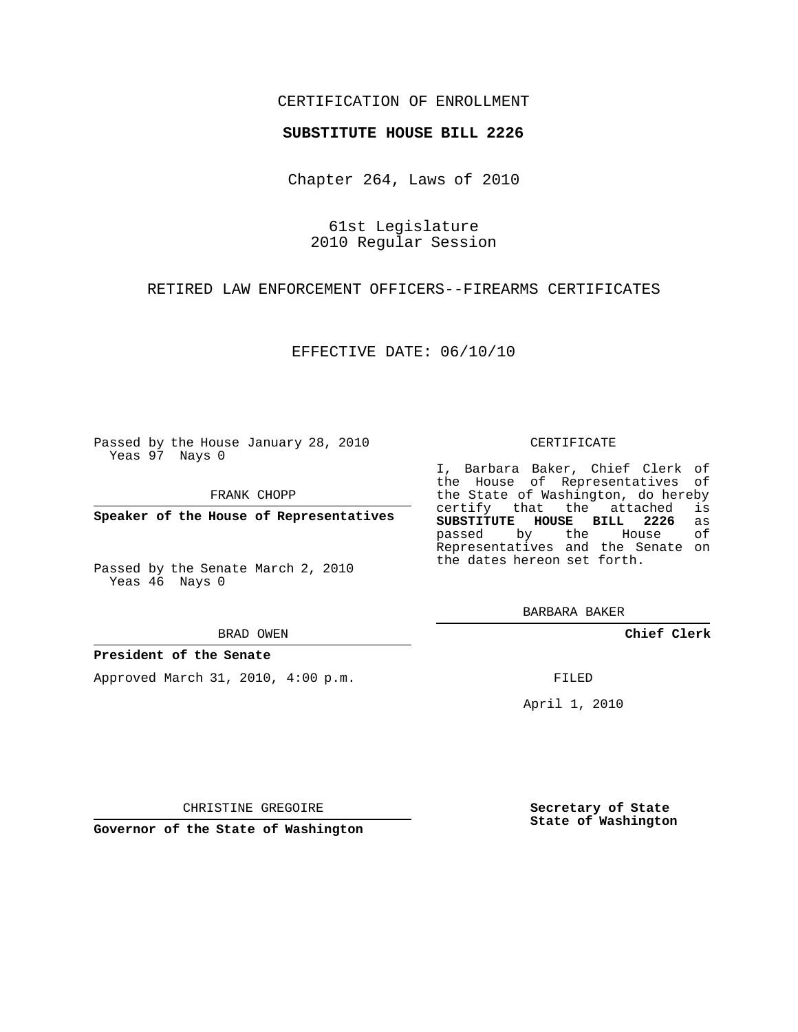## CERTIFICATION OF ENROLLMENT

### **SUBSTITUTE HOUSE BILL 2226**

Chapter 264, Laws of 2010

61st Legislature 2010 Regular Session

RETIRED LAW ENFORCEMENT OFFICERS--FIREARMS CERTIFICATES

EFFECTIVE DATE: 06/10/10

Passed by the House January 28, 2010 Yeas 97 Nays 0

FRANK CHOPP

**Speaker of the House of Representatives**

Passed by the Senate March 2, 2010 Yeas 46 Nays 0

BRAD OWEN

### **President of the Senate**

Approved March 31, 2010, 4:00 p.m.

#### CERTIFICATE

I, Barbara Baker, Chief Clerk of the House of Representatives of the State of Washington, do hereby<br>certify that the attached is certify that the attached **SUBSTITUTE HOUSE BILL 2226** as passed by the Representatives and the Senate on the dates hereon set forth.

BARBARA BAKER

**Chief Clerk**

FILED

April 1, 2010

**Secretary of State State of Washington**

CHRISTINE GREGOIRE

**Governor of the State of Washington**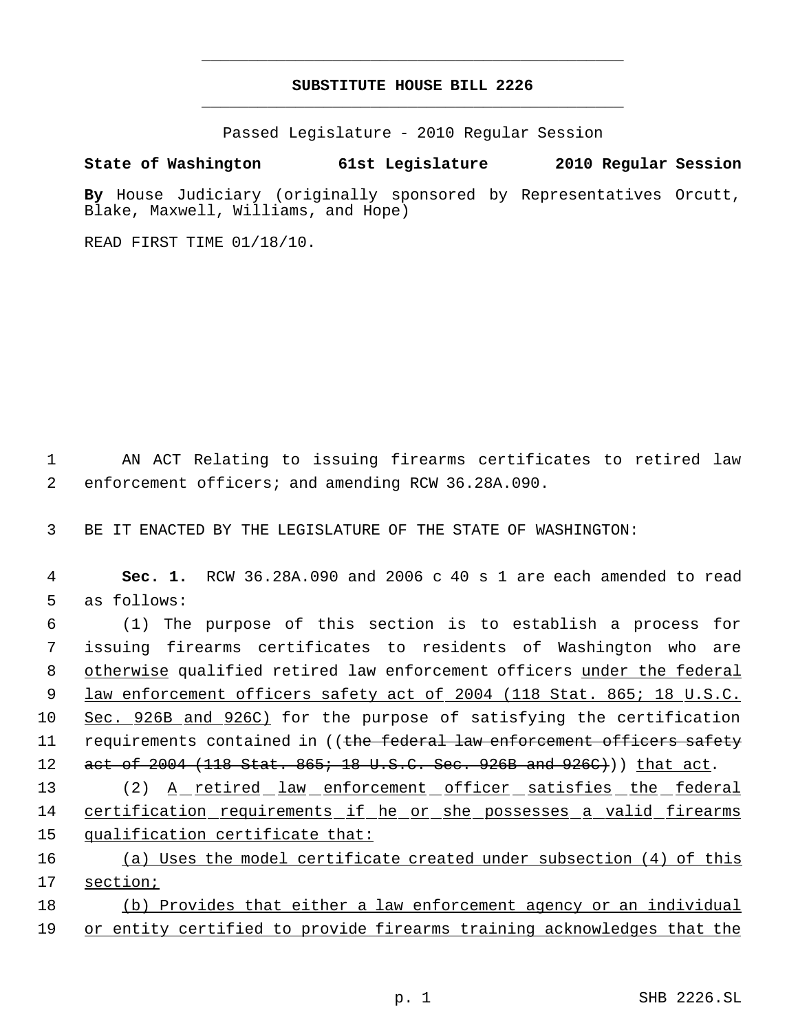# **SUBSTITUTE HOUSE BILL 2226** \_\_\_\_\_\_\_\_\_\_\_\_\_\_\_\_\_\_\_\_\_\_\_\_\_\_\_\_\_\_\_\_\_\_\_\_\_\_\_\_\_\_\_\_\_

\_\_\_\_\_\_\_\_\_\_\_\_\_\_\_\_\_\_\_\_\_\_\_\_\_\_\_\_\_\_\_\_\_\_\_\_\_\_\_\_\_\_\_\_\_

Passed Legislature - 2010 Regular Session

# **State of Washington 61st Legislature 2010 Regular Session**

**By** House Judiciary (originally sponsored by Representatives Orcutt, Blake, Maxwell, Williams, and Hope)

READ FIRST TIME 01/18/10.

 1 AN ACT Relating to issuing firearms certificates to retired law 2 enforcement officers; and amending RCW 36.28A.090.

3 BE IT ENACTED BY THE LEGISLATURE OF THE STATE OF WASHINGTON:

 4 **Sec. 1.** RCW 36.28A.090 and 2006 c 40 s 1 are each amended to read 5 as follows:

 6 (1) The purpose of this section is to establish a process for 7 issuing firearms certificates to residents of Washington who are 8 otherwise qualified retired law enforcement officers under the federal 9 law enforcement officers safety act of 2004 (118 Stat. 865; 18 U.S.C. 10 Sec. 926B and 926C) for the purpose of satisfying the certification 11 requirements contained in ((the federal law enforcement officers safety 12 act of 2004 (118 Stat. 865; 18 U.S.C. Sec. 926B and 926C))) that act.

13 (2) A retired law enforcement officer satisfies the federal 14 certification requirements if he or she possesses a valid firearms 15 qualification certificate that:

- 16 (a) Uses the model certificate created under subsection (4) of this 17 section;
- 18 (b) Provides that either a law enforcement agency or an individual 19 or entity certified to provide firearms training acknowledges that the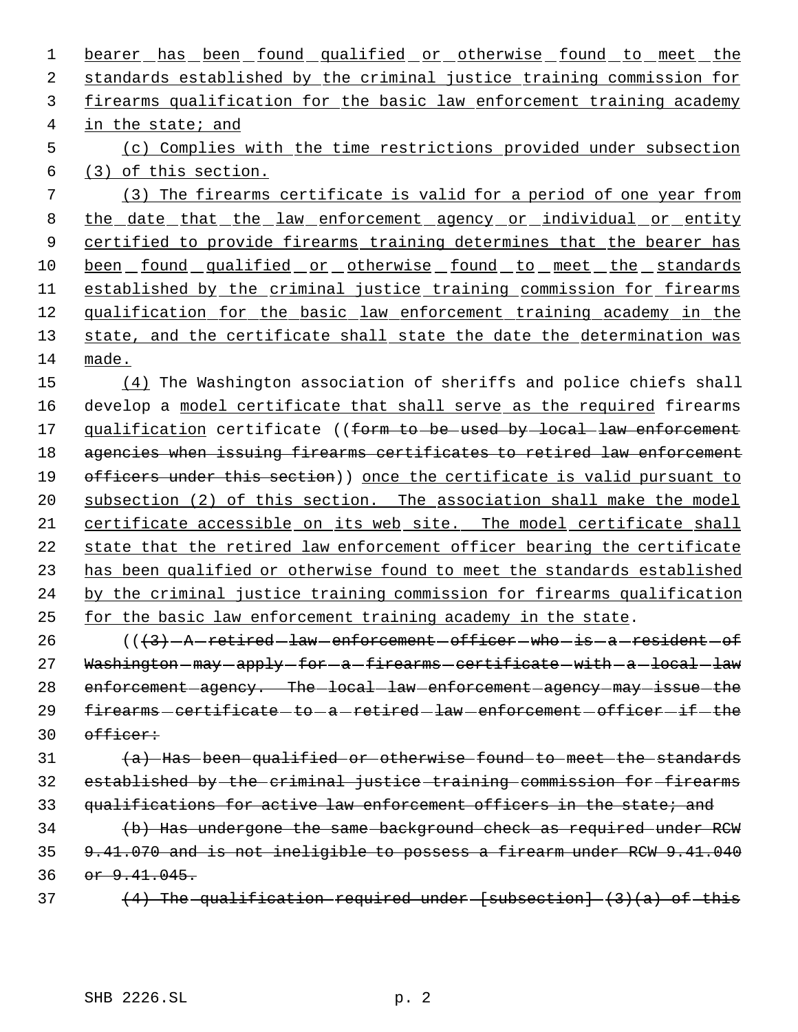1 bearer has been found qualified or otherwise found to meet the 2 standards established by the criminal justice training commission for 3 firearms qualification for the basic law enforcement training academy 4 in the state; and 5 (c) Complies with the time restrictions provided under subsection 6 (3) of this section. 7 (3) The firearms certificate is valid for a period of one year from 8 the date that the law enforcement agency or individual or entity 9 certified to provide firearms training determines that the bearer has 10 been found qualified or otherwise found to meet the standards 11 established by the criminal justice training commission for firearms 12 qualification for the basic law enforcement training academy in the 13 state, and the certificate shall state the date the determination was 14 made.

15 (4) The Washington association of sheriffs and police chiefs shall 16 develop a model certificate that shall serve as the required firearms 17 qualification certificate ((form to be used by local law enforcement 18 agencies when issuing firearms certificates to retired law enforcement 19 officers under this section)) once the certificate is valid pursuant to 20 subsection (2) of this section. The association shall make the model 21 certificate accessible on its web site. The model certificate shall 22 state that the retired law enforcement officer bearing the certificate 23 has been qualified or otherwise found to meet the standards established 24 by the criminal justice training commission for firearms qualification 25 for the basic law enforcement training academy in the state.

 $26$  ( $(\frac{43}{7} - A - retired - law-enforcement - officer - who - is - a - resident - of$ 27 Washington-may-apply-for-a-firearms-certificate-with-a-local-law 28 enforcement agency. The local law enforcement agency may issue the 29  $firearms - certified - to - a - retired - law - enforcement - officer - if - the$ 30 officer:

 $\{a\}$  Has been qualified or otherwise found to meet the standards 32 established by the criminal justice training commission for firearms 33 qualifications for active law enforcement officers in the state; and

34 (b) Has undergone the same background check as required under RCW 35 9.41.070 and is not ineligible to possess a firearm under RCW 9.41.040 36 or 9.41.045.

37  $(4)$  The qualification required under [subsection]  $(3)(a)$  of this